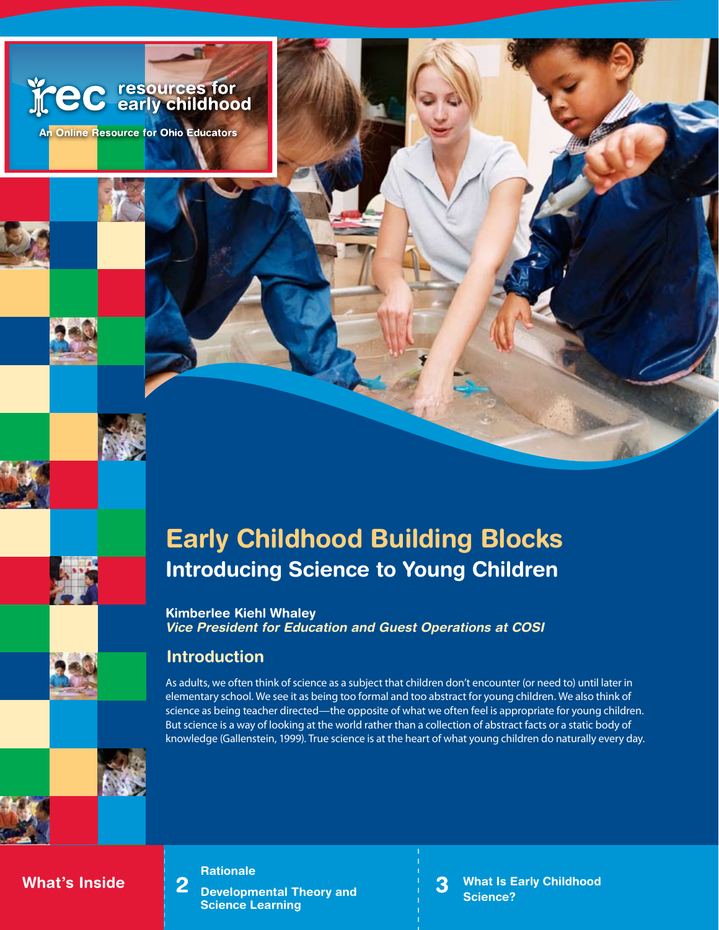



# **Early Childhood Building Blocks Introducing Science to Young Children**

**Kimberlee Kiehl Whaley** *Vice President for Education and Guest Operations at COSI*

# **Introduction**

As adults, we often think of science as a subject that children don't encounter (or need to) until later in elementary school. We see it as being too formal and too abstract for young children. We also think of science as being teacher directed—the opposite of what we often feel is appropriate for young children. But science is a way of looking at the world rather than a collection of abstract facts or a static body of knowledge (Gallenstein, 1999). True science is at the heart of what young children do naturally every day.

## **What's Inside**

**Rationale**

 $\overline{2}$ 

**Developmental Theory and Science Learning**

**What Is Early Childhood**  3 **Science?**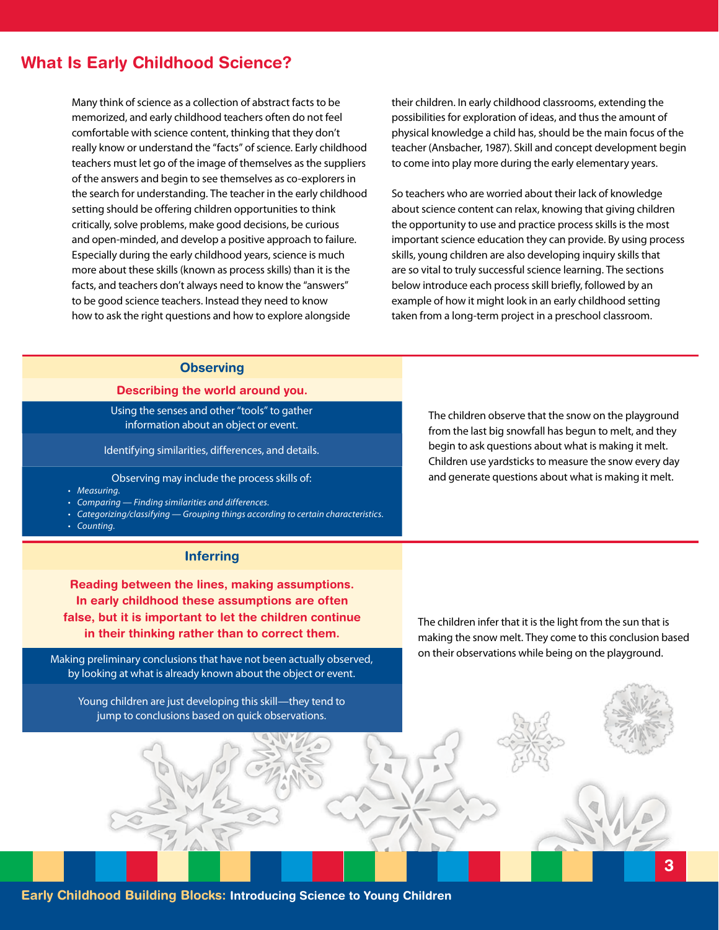# **What Is Early Childhood Science?**

Many think of science as a collection of abstract facts to be memorized, and early childhood teachers often do not feel comfortable with science content, thinking that they don't really know or understand the "facts" of science. Early childhood teachers must let go of the image of themselves as the suppliers of the answers and begin to see themselves as co-explorers in the search for understanding. The teacher in the early childhood setting should be offering children opportunities to think critically, solve problems, make good decisions, be curious and open-minded, and develop a positive approach to failure. Especially during the early childhood years, science is much more about these skills (known as process skills) than it is the facts, and teachers don't always need to know the "answers" to be good science teachers. Instead they need to know how to ask the right questions and how to explore alongside

their children. In early childhood classrooms, extending the possibilities for exploration of ideas, and thus the amount of physical knowledge a child has, should be the main focus of the teacher (Ansbacher, 1987). Skill and concept development begin to come into play more during the early elementary years.

So teachers who are worried about their lack of knowledge about science content can relax, knowing that giving children the opportunity to use and practice process skills is the most important science education they can provide. By using process skills, young children are also developing inquiry skills that are so vital to truly successful science learning. The sections below introduce each process skill briefly, followed by an example of how it might look in an early childhood setting taken from a long-term project in a preschool classroom.

### **Observing**

#### **Describing the world around you.**

Using the senses and other "tools" to gather information about an object or event.

Identifying similarities, differences, and details.

Observing may include the process skills of:

- *Measuring. •*
- *Comparing Finding similarities and differences. •*
- *Categorizing/classifying Grouping things according to certain characteristics. •*
- *Counting. •*

#### **Inferring**

**Reading between the lines, making assumptions. In early childhood these assumptions are often false, but it is important to let the children continue in their thinking rather than to correct them.**

Making preliminary conclusions that have not been actually observed, by looking at what is already known about the object or event.

Young children are just developing this skill—they tend to jump to conclusions based on quick observations.

The children observe that the snow on the playground from the last big snowfall has begun to melt, and they begin to ask questions about what is making it melt. Children use yardsticks to measure the snow every day and generate questions about what is making it melt.

The children infer that it is the light from the sun that is making the snow melt. They come to this conclusion based on their observations while being on the playground.

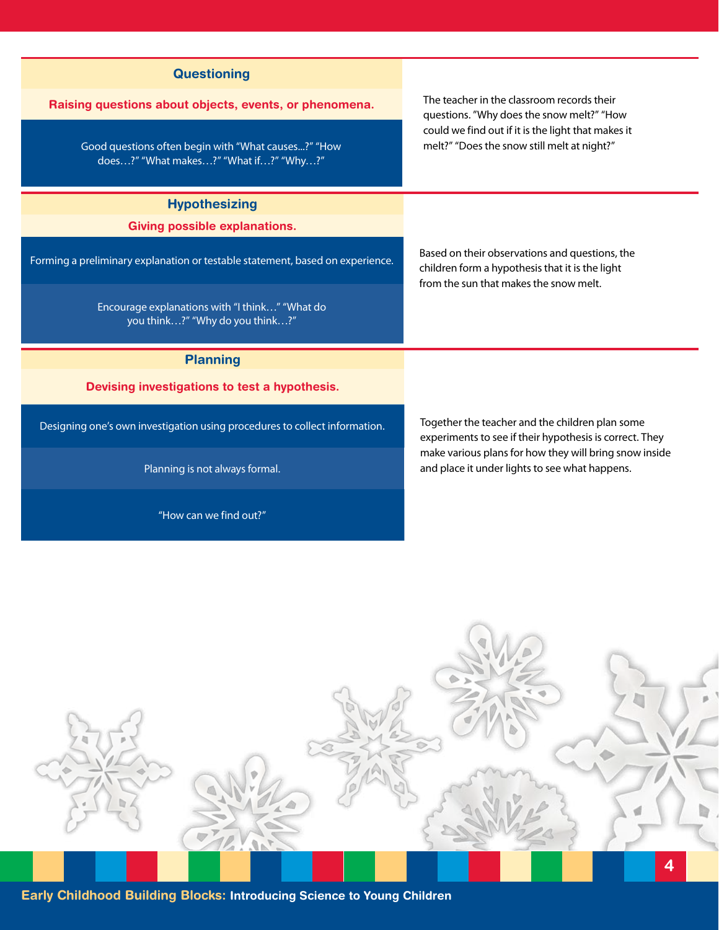| Raising questions about objects, events, or phenomena.<br>Good questions often begin with "What causes?" "How<br>does?" "What makes?" "What if?" "Why?"                                                                            | The teacher in the classroom records their<br>questions. "Why does the snow melt?" "How<br>could we find out if it is the light that makes it<br>melt?" "Does the snow still melt at night?" |
|------------------------------------------------------------------------------------------------------------------------------------------------------------------------------------------------------------------------------------|----------------------------------------------------------------------------------------------------------------------------------------------------------------------------------------------|
| <b>Hypothesizing</b><br><b>Giving possible explanations.</b><br>Forming a preliminary explanation or testable statement, based on experience.<br>Encourage explanations with "I think" "What do<br>you think?" "Why do you think?" | Based on their observations and questions, the<br>children form a hypothesis that it is the light<br>from the sun that makes the snow melt.                                                  |
| <b>Planning</b><br>Devising investigations to test a hypothesis.<br>Designing one's own investigation using procedures to collect information.                                                                                     | Together the teacher and the children plan some<br>experiments to see if their hypothesis is correct. They<br>make various plans for how they will bring snow inside                         |
| Planning is not always formal.<br>"How can we find out?"                                                                                                                                                                           | and place it under lights to see what happens.                                                                                                                                               |
| $\overline{\mathbf{4}}$<br>Early Childhood Building Blocks: Introducing Science to Young Children                                                                                                                                  |                                                                                                                                                                                              |

**Questioning**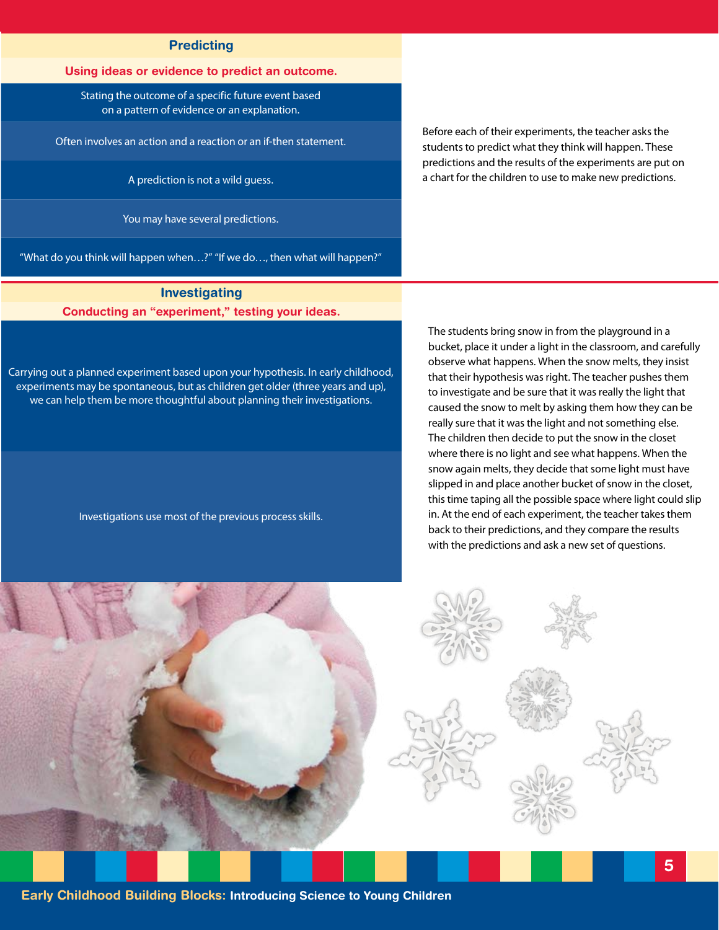#### **Predicting**

#### **Using ideas or evidence to predict an outcome.**

Stating the outcome of a specific future event based on a pattern of evidence or an explanation.

Often involves an action and a reaction or an if-then statement.

A prediction is not a wild guess.

You may have several predictions.

"What do you think will happen when…?" "If we do…, then what will happen?"

**Investigating Conducting an "experiment," testing your ideas.**

Carrying out a planned experiment based upon your hypothesis. In early childhood, experiments may be spontaneous, but as children get older (three years and up), we can help them be more thoughtful about planning their investigations.

Investigations use most of the previous process skills.

Before each of their experiments, the teacher asks the students to predict what they think will happen. These predictions and the results of the experiments are put on a chart for the children to use to make new predictions.

The students bring snow in from the playground in a bucket, place it under a light in the classroom, and carefully observe what happens. When the snow melts, they insist that their hypothesis was right. The teacher pushes them to investigate and be sure that it was really the light that caused the snow to melt by asking them how they can be really sure that it was the light and not something else. The children then decide to put the snow in the closet where there is no light and see what happens. When the snow again melts, they decide that some light must have slipped in and place another bucket of snow in the closet, this time taping all the possible space where light could slip in. At the end of each experiment, the teacher takes them back to their predictions, and they compare the results with the predictions and ask a new set of questions.